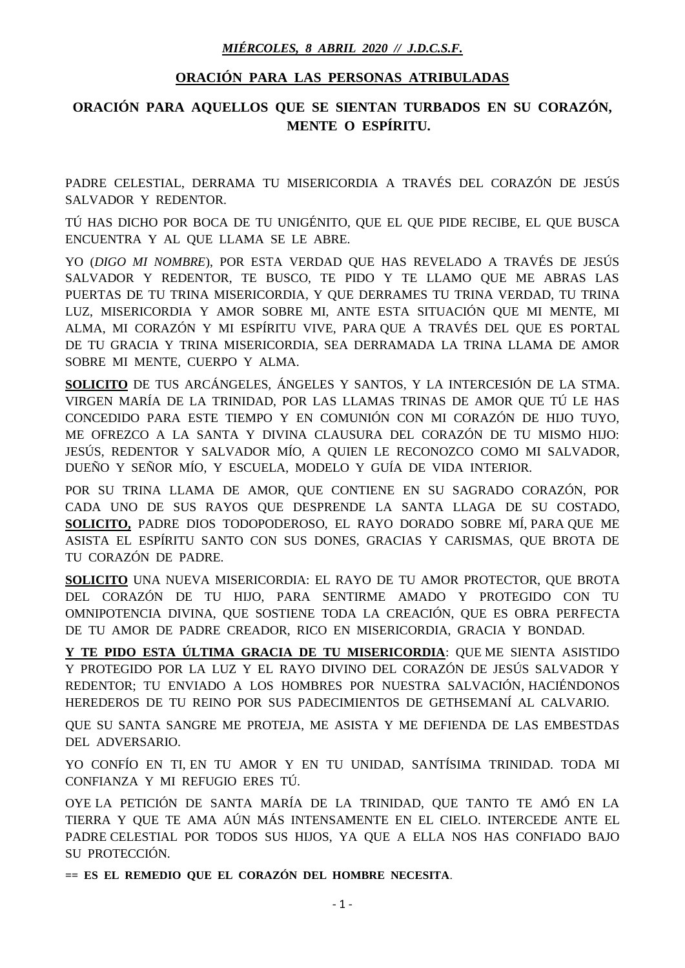## *MIÉRCOLES, 8 ABRIL 2020 // J.D.C.S.F.*

## **ORACIÓN PARA LAS PERSONAS ATRIBULADAS**

## **ORACIÓN PARA AQUELLOS QUE SE SIENTAN TURBADOS EN SU CORAZÓN, MENTE O ESPÍRITU.**

PADRE CELESTIAL, DERRAMA TU MISERICORDIA A TRAVÉS DEL CORAZÓN DE JESÚS SALVADOR Y REDENTOR.

TÚ HAS DICHO POR BOCA DE TU UNIGÉNITO, QUE EL QUE PIDE RECIBE, EL QUE BUSCA ENCUENTRA Y AL QUE LLAMA SE LE ABRE.

YO (*DIGO MI NOMBRE*), POR ESTA VERDAD QUE HAS REVELADO A TRAVÉS DE JESÚS SALVADOR Y REDENTOR, TE BUSCO, TE PIDO Y TE LLAMO QUE ME ABRAS LAS PUERTAS DE TU TRINA MISERICORDIA, Y QUE DERRAMES TU TRINA VERDAD, TU TRINA LUZ, MISERICORDIA Y AMOR SOBRE MI, ANTE ESTA SITUACIÓN QUE MI MENTE, MI ALMA, MI CORAZÓN Y MI ESPÍRITU VIVE, PARA QUE A TRAVÉS DEL QUE ES PORTAL DE TU GRACIA Y TRINA MISERICORDIA, SEA DERRAMADA LA TRINA LLAMA DE AMOR SOBRE MI MENTE, CUERPO Y ALMA.

**SOLICITO** DE TUS ARCÁNGELES, ÁNGELES Y SANTOS, Y LA INTERCESIÓN DE LA STMA. VIRGEN MARÍA DE LA TRINIDAD, POR LAS LLAMAS TRINAS DE AMOR QUE TÚ LE HAS CONCEDIDO PARA ESTE TIEMPO Y EN COMUNIÓN CON MI CORAZÓN DE HIJO TUYO, ME OFREZCO A LA SANTA Y DIVINA CLAUSURA DEL CORAZÓN DE TU MISMO HIJO: JESÚS, REDENTOR Y SALVADOR MÍO, A QUIEN LE RECONOZCO COMO MI SALVADOR, DUEÑO Y SEÑOR MÍO, Y ESCUELA, MODELO Y GUÍA DE VIDA INTERIOR.

POR SU TRINA LLAMA DE AMOR, QUE CONTIENE EN SU SAGRADO CORAZÓN, POR CADA UNO DE SUS RAYOS QUE DESPRENDE LA SANTA LLAGA DE SU COSTADO, **SOLICITO,** PADRE DIOS TODOPODEROSO, EL RAYO DORADO SOBRE MÍ, PARA QUE ME ASISTA EL ESPÍRITU SANTO CON SUS DONES, GRACIAS Y CARISMAS, QUE BROTA DE TU CORAZÓN DE PADRE.

**SOLICITO** UNA NUEVA MISERICORDIA: EL RAYO DE TU AMOR PROTECTOR, QUE BROTA DEL CORAZÓN DE TU HIJO, PARA SENTIRME AMADO Y PROTEGIDO CON TU OMNIPOTENCIA DIVINA, QUE SOSTIENE TODA LA CREACIÓN, QUE ES OBRA PERFECTA DE TU AMOR DE PADRE CREADOR, RICO EN MISERICORDIA, GRACIA Y BONDAD.

**Y TE PIDO ESTA ÚLTIMA GRACIA DE TU MISERICORDIA**: QUE ME SIENTA ASISTIDO Y PROTEGIDO POR LA LUZ Y EL RAYO DIVINO DEL CORAZÓN DE JESÚS SALVADOR Y REDENTOR; TU ENVIADO A LOS HOMBRES POR NUESTRA SALVACIÓN, HACIÉNDONOS HEREDEROS DE TU REINO POR SUS PADECIMIENTOS DE GETHSEMANÍ AL CALVARIO.

QUE SU SANTA SANGRE ME PROTEJA, ME ASISTA Y ME DEFIENDA DE LAS EMBESTDAS DEL ADVERSARIO.

YO CONFÍO EN TI, EN TU AMOR Y EN TU UNIDAD, SANTÍSIMA TRINIDAD. TODA MI CONFIANZA Y MI REFUGIO ERES TÚ.

OYE LA PETICIÓN DE SANTA MARÍA DE LA TRINIDAD, QUE TANTO TE AMÓ EN LA TIERRA Y QUE TE AMA AÚN MÁS INTENSAMENTE EN EL CIELO. INTERCEDE ANTE EL PADRE CELESTIAL POR TODOS SUS HIJOS, YA QUE A ELLA NOS HAS CONFIADO BAJO SU PROTECCIÓN.

**== ES EL REMEDIO QUE EL CORAZÓN DEL HOMBRE NECESITA**.